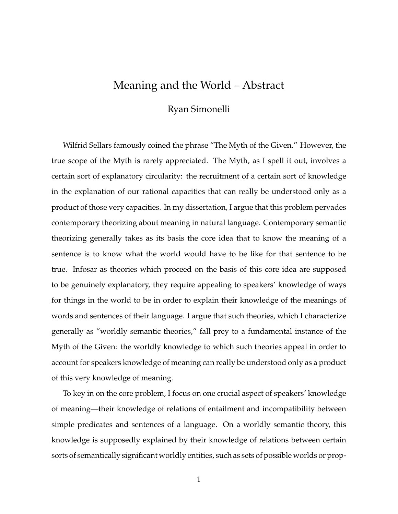## Meaning and the World – Abstract

## Ryan Simonelli

Wilfrid Sellars famously coined the phrase "The Myth of the Given." However, the true scope of the Myth is rarely appreciated. The Myth, as I spell it out, involves a certain sort of explanatory circularity: the recruitment of a certain sort of knowledge in the explanation of our rational capacities that can really be understood only as a product of those very capacities. In my dissertation, I argue that this problem pervades contemporary theorizing about meaning in natural language. Contemporary semantic theorizing generally takes as its basis the core idea that to know the meaning of a sentence is to know what the world would have to be like for that sentence to be true. Infosar as theories which proceed on the basis of this core idea are supposed to be genuinely explanatory, they require appealing to speakers' knowledge of ways for things in the world to be in order to explain their knowledge of the meanings of words and sentences of their language. I argue that such theories, which I characterize generally as "worldly semantic theories," fall prey to a fundamental instance of the Myth of the Given: the worldly knowledge to which such theories appeal in order to account for speakers knowledge of meaning can really be understood only as a product of this very knowledge of meaning.

To key in on the core problem, I focus on one crucial aspect of speakers' knowledge of meaning—their knowledge of relations of entailment and incompatibility between simple predicates and sentences of a language. On a worldly semantic theory, this knowledge is supposedly explained by their knowledge of relations between certain sorts of semantically significant worldly entities, such as sets of possible worlds or prop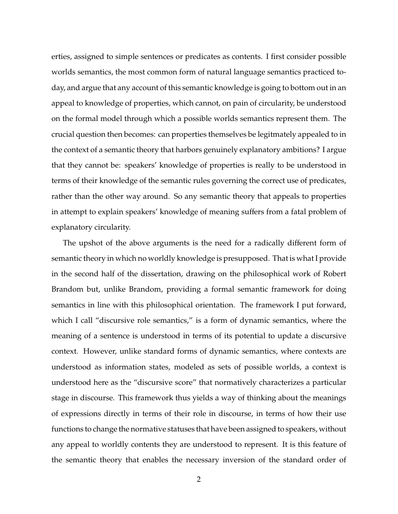erties, assigned to simple sentences or predicates as contents. I first consider possible worlds semantics, the most common form of natural language semantics practiced today, and argue that any account of this semantic knowledge is going to bottom out in an appeal to knowledge of properties, which cannot, on pain of circularity, be understood on the formal model through which a possible worlds semantics represent them. The crucial question then becomes: can properties themselves be legitmately appealed to in the context of a semantic theory that harbors genuinely explanatory ambitions? I argue that they cannot be: speakers' knowledge of properties is really to be understood in terms of their knowledge of the semantic rules governing the correct use of predicates, rather than the other way around. So any semantic theory that appeals to properties in attempt to explain speakers' knowledge of meaning suffers from a fatal problem of explanatory circularity.

The upshot of the above arguments is the need for a radically different form of semantic theory in which no worldly knowledge is presupposed. That is what I provide in the second half of the dissertation, drawing on the philosophical work of Robert Brandom but, unlike Brandom, providing a formal semantic framework for doing semantics in line with this philosophical orientation. The framework I put forward, which I call "discursive role semantics," is a form of dynamic semantics, where the meaning of a sentence is understood in terms of its potential to update a discursive context. However, unlike standard forms of dynamic semantics, where contexts are understood as information states, modeled as sets of possible worlds, a context is understood here as the "discursive score" that normatively characterizes a particular stage in discourse. This framework thus yields a way of thinking about the meanings of expressions directly in terms of their role in discourse, in terms of how their use functions to change the normative statuses that have been assigned to speakers, without any appeal to worldly contents they are understood to represent. It is this feature of the semantic theory that enables the necessary inversion of the standard order of